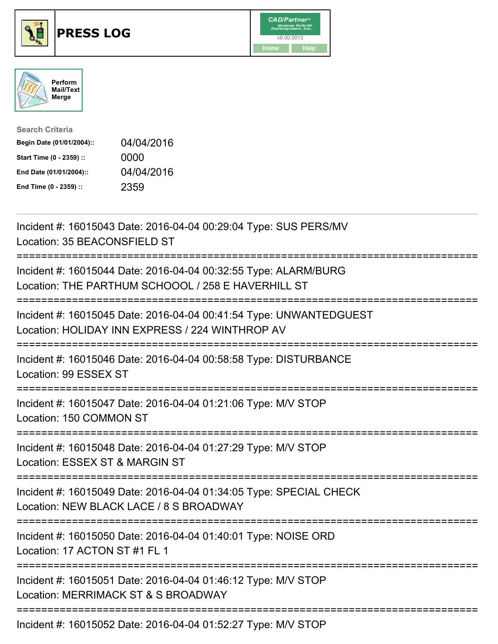

## **PRESS LOG** v8.00.0013





| <b>Search Criteria</b>    |            |
|---------------------------|------------|
| Begin Date (01/01/2004):: | 04/04/2016 |
| Start Time (0 - 2359) ::  | 0000       |
| End Date (01/01/2004)::   | 04/04/2016 |
| End Time (0 - 2359) ::    | 2359       |

Incident #: 16015043 Date: 2016-04-04 00:29:04 Type: SUS PERS/MV Location: 35 BEACONSFIELD ST =========================================================================== Incident #: 16015044 Date: 2016-04-04 00:32:55 Type: ALARM/BURG Location: THE PARTHUM SCHOOOL / 258 E HAVERHILL ST =========================================================================== Incident #: 16015045 Date: 2016-04-04 00:41:54 Type: UNWANTEDGUEST Location: HOLIDAY INN EXPRESS / 224 WINTHROP AV =========================================================================== Incident #: 16015046 Date: 2016-04-04 00:58:58 Type: DISTURBANCE Location: 99 ESSEX ST =========================================================================== Incident #: 16015047 Date: 2016-04-04 01:21:06 Type: M/V STOP Location: 150 COMMON ST =========================================================================== Incident #: 16015048 Date: 2016-04-04 01:27:29 Type: M/V STOP Location: ESSEX ST & MARGIN ST =========================================================================== Incident #: 16015049 Date: 2016-04-04 01:34:05 Type: SPECIAL CHECK Location: NEW BLACK LACE / 8 S BROADWAY =========================================================================== Incident #: 16015050 Date: 2016-04-04 01:40:01 Type: NOISE ORD Location: 17 ACTON ST #1 FL 1 =========================================================================== Incident #: 16015051 Date: 2016-04-04 01:46:12 Type: M/V STOP Location: MERRIMACK ST & S BROADWAY ===========================================================================

Incident #: 16015052 Date: 2016-04-04 01:52:27 Type: M/V STOP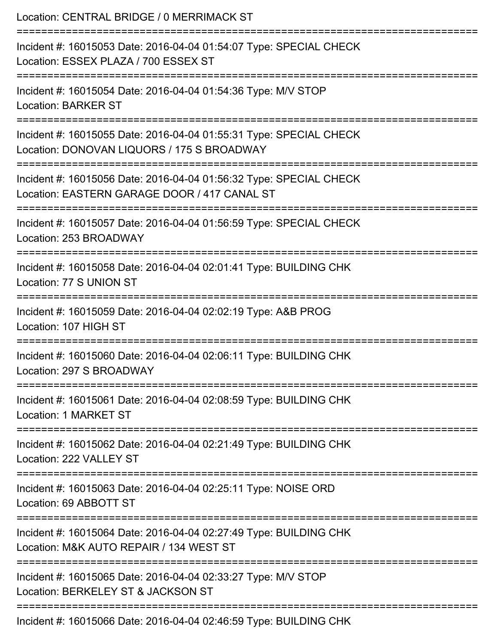| Location: CENTRAL BRIDGE / 0 MERRIMACK ST<br>_________________________________                                                                              |
|-------------------------------------------------------------------------------------------------------------------------------------------------------------|
| Incident #: 16015053 Date: 2016-04-04 01:54:07 Type: SPECIAL CHECK<br>Location: ESSEX PLAZA / 700 ESSEX ST                                                  |
| Incident #: 16015054 Date: 2016-04-04 01:54:36 Type: M/V STOP<br><b>Location: BARKER ST</b><br>=================================<br>======================= |
| Incident #: 16015055 Date: 2016-04-04 01:55:31 Type: SPECIAL CHECK<br>Location: DONOVAN LIQUORS / 175 S BROADWAY                                            |
| Incident #: 16015056 Date: 2016-04-04 01:56:32 Type: SPECIAL CHECK<br>Location: EASTERN GARAGE DOOR / 417 CANAL ST                                          |
| Incident #: 16015057 Date: 2016-04-04 01:56:59 Type: SPECIAL CHECK<br>Location: 253 BROADWAY                                                                |
| Incident #: 16015058 Date: 2016-04-04 02:01:41 Type: BUILDING CHK<br>Location: 77 S UNION ST                                                                |
| Incident #: 16015059 Date: 2016-04-04 02:02:19 Type: A&B PROG<br>Location: 107 HIGH ST                                                                      |
| Incident #: 16015060 Date: 2016-04-04 02:06:11 Type: BUILDING CHK<br>Location: 297 S BROADWAY                                                               |
| Incident #: 16015061 Date: 2016-04-04 02:08:59 Type: BUILDING CHK<br>Location: 1 MARKET ST                                                                  |
| Incident #: 16015062 Date: 2016-04-04 02:21:49 Type: BUILDING CHK<br>Location: 222 VALLEY ST                                                                |
| Incident #: 16015063 Date: 2016-04-04 02:25:11 Type: NOISE ORD<br>Location: 69 ABBOTT ST                                                                    |
| Incident #: 16015064 Date: 2016-04-04 02:27:49 Type: BUILDING CHK<br>Location: M&K AUTO REPAIR / 134 WEST ST                                                |
| Incident #: 16015065 Date: 2016-04-04 02:33:27 Type: M/V STOP<br>Location: BERKELEY ST & JACKSON ST                                                         |
| Incident #: 16015066 Date: 2016-04-04 02:46:59 Type: BUILDING CHK                                                                                           |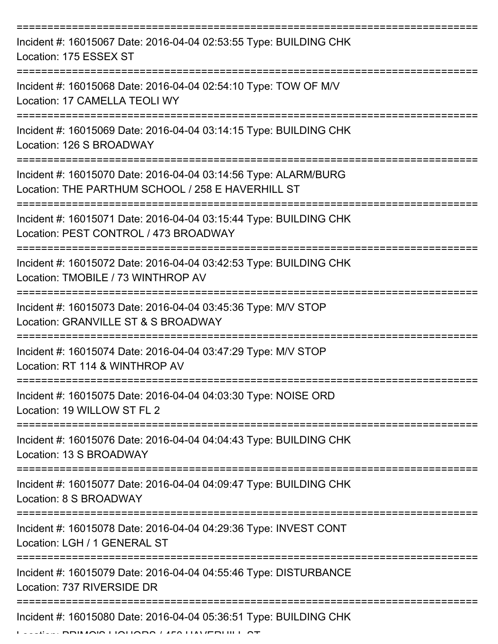| Incident #: 16015067 Date: 2016-04-04 02:53:55 Type: BUILDING CHK<br>Location: 175 ESSEX ST                                               |
|-------------------------------------------------------------------------------------------------------------------------------------------|
| Incident #: 16015068 Date: 2016-04-04 02:54:10 Type: TOW OF M/V<br>Location: 17 CAMELLA TEOLI WY                                          |
| Incident #: 16015069 Date: 2016-04-04 03:14:15 Type: BUILDING CHK<br>Location: 126 S BROADWAY                                             |
| Incident #: 16015070 Date: 2016-04-04 03:14:56 Type: ALARM/BURG<br>Location: THE PARTHUM SCHOOL / 258 E HAVERHILL ST<br>----------------- |
| Incident #: 16015071 Date: 2016-04-04 03:15:44 Type: BUILDING CHK<br>Location: PEST CONTROL / 473 BROADWAY                                |
| Incident #: 16015072 Date: 2016-04-04 03:42:53 Type: BUILDING CHK<br>Location: TMOBILE / 73 WINTHROP AV                                   |
| Incident #: 16015073 Date: 2016-04-04 03:45:36 Type: M/V STOP<br>Location: GRANVILLE ST & S BROADWAY                                      |
| Incident #: 16015074 Date: 2016-04-04 03:47:29 Type: M/V STOP<br>Location: RT 114 & WINTHROP AV                                           |
| Incident #: 16015075 Date: 2016-04-04 04:03:30 Type: NOISE ORD<br>Location: 19 WILLOW ST FL 2                                             |
| Incident #: 16015076 Date: 2016-04-04 04:04:43 Type: BUILDING CHK<br>Location: 13 S BROADWAY                                              |
| Incident #: 16015077 Date: 2016-04-04 04:09:47 Type: BUILDING CHK<br>Location: 8 S BROADWAY                                               |
| Incident #: 16015078 Date: 2016-04-04 04:29:36 Type: INVEST CONT<br>Location: LGH / 1 GENERAL ST                                          |
| Incident #: 16015079 Date: 2016-04-04 04:55:46 Type: DISTURBANCE<br>Location: 737 RIVERSIDE DR                                            |
| Incident #: 16015080 Date: 2016-04-04 05:36:51 Type: BUILDING CHK                                                                         |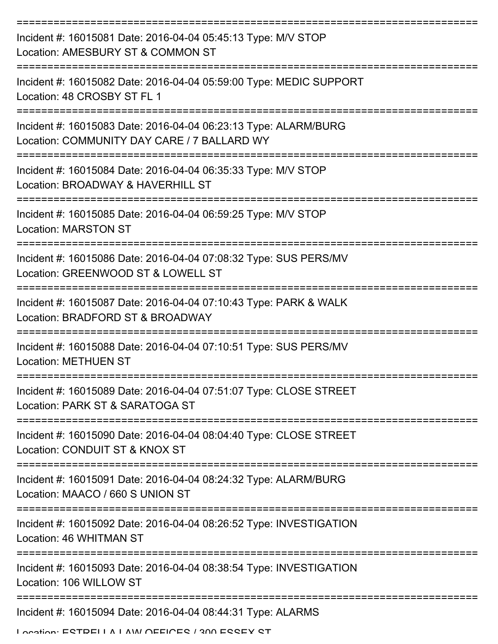| Incident #: 16015081 Date: 2016-04-04 05:45:13 Type: M/V STOP<br>Location: AMESBURY ST & COMMON ST             |
|----------------------------------------------------------------------------------------------------------------|
| Incident #: 16015082 Date: 2016-04-04 05:59:00 Type: MEDIC SUPPORT<br>Location: 48 CROSBY ST FL 1              |
| Incident #: 16015083 Date: 2016-04-04 06:23:13 Type: ALARM/BURG<br>Location: COMMUNITY DAY CARE / 7 BALLARD WY |
| Incident #: 16015084 Date: 2016-04-04 06:35:33 Type: M/V STOP<br>Location: BROADWAY & HAVERHILL ST             |
| Incident #: 16015085 Date: 2016-04-04 06:59:25 Type: M/V STOP<br><b>Location: MARSTON ST</b>                   |
| Incident #: 16015086 Date: 2016-04-04 07:08:32 Type: SUS PERS/MV<br>Location: GREENWOOD ST & LOWELL ST         |
| Incident #: 16015087 Date: 2016-04-04 07:10:43 Type: PARK & WALK<br>Location: BRADFORD ST & BROADWAY           |
| Incident #: 16015088 Date: 2016-04-04 07:10:51 Type: SUS PERS/MV<br><b>Location: METHUEN ST</b>                |
| Incident #: 16015089 Date: 2016-04-04 07:51:07 Type: CLOSE STREET<br>Location: PARK ST & SARATOGA ST           |
| Incident #: 16015090 Date: 2016-04-04 08:04:40 Type: CLOSE STREET<br>Location: CONDUIT ST & KNOX ST            |
| Incident #: 16015091 Date: 2016-04-04 08:24:32 Type: ALARM/BURG<br>Location: MAACO / 660 S UNION ST            |
| Incident #: 16015092 Date: 2016-04-04 08:26:52 Type: INVESTIGATION<br>Location: 46 WHITMAN ST                  |
| Incident #: 16015093 Date: 2016-04-04 08:38:54 Type: INVESTIGATION<br>Location: 106 WILLOW ST                  |
| Incident #: 16015094 Date: 2016-04-04 08:44:31 Type: ALARMS                                                    |
| I opation: ECTDEI I A I AMI AEEIAEC I 200 ECCEY CT                                                             |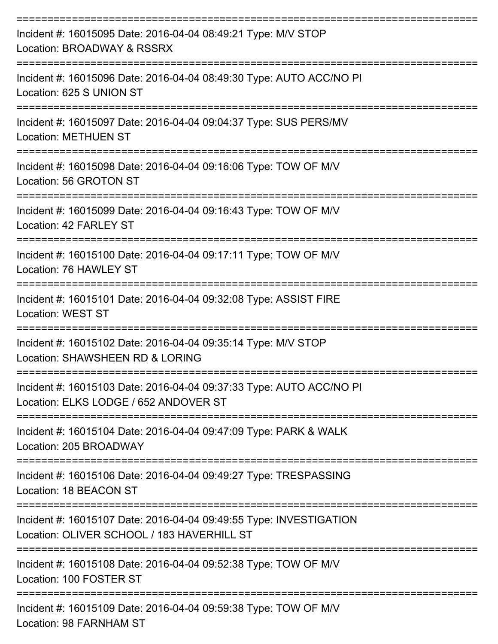| Incident #: 16015095 Date: 2016-04-04 08:49:21 Type: M/V STOP<br>Location: BROADWAY & RSSRX                      |
|------------------------------------------------------------------------------------------------------------------|
| Incident #: 16015096 Date: 2016-04-04 08:49:30 Type: AUTO ACC/NO PI<br>Location: 625 S UNION ST                  |
| Incident #: 16015097 Date: 2016-04-04 09:04:37 Type: SUS PERS/MV<br><b>Location: METHUEN ST</b>                  |
| Incident #: 16015098 Date: 2016-04-04 09:16:06 Type: TOW OF M/V<br>Location: 56 GROTON ST                        |
| Incident #: 16015099 Date: 2016-04-04 09:16:43 Type: TOW OF M/V<br>Location: 42 FARLEY ST                        |
| Incident #: 16015100 Date: 2016-04-04 09:17:11 Type: TOW OF M/V<br>Location: 76 HAWLEY ST                        |
| Incident #: 16015101 Date: 2016-04-04 09:32:08 Type: ASSIST FIRE<br><b>Location: WEST ST</b>                     |
| Incident #: 16015102 Date: 2016-04-04 09:35:14 Type: M/V STOP<br>Location: SHAWSHEEN RD & LORING                 |
| Incident #: 16015103 Date: 2016-04-04 09:37:33 Type: AUTO ACC/NO PI<br>Location: ELKS LODGE / 652 ANDOVER ST     |
| Incident #: 16015104 Date: 2016-04-04 09:47:09 Type: PARK & WALK<br>Location: 205 BROADWAY                       |
| Incident #: 16015106 Date: 2016-04-04 09:49:27 Type: TRESPASSING<br>Location: 18 BEACON ST                       |
| Incident #: 16015107 Date: 2016-04-04 09:49:55 Type: INVESTIGATION<br>Location: OLIVER SCHOOL / 183 HAVERHILL ST |
| Incident #: 16015108 Date: 2016-04-04 09:52:38 Type: TOW OF M/V<br>Location: 100 FOSTER ST                       |
| Incident #: 16015109 Date: 2016-04-04 09:59:38 Type: TOW OF M/V<br>Location: 98 FARNHAM ST                       |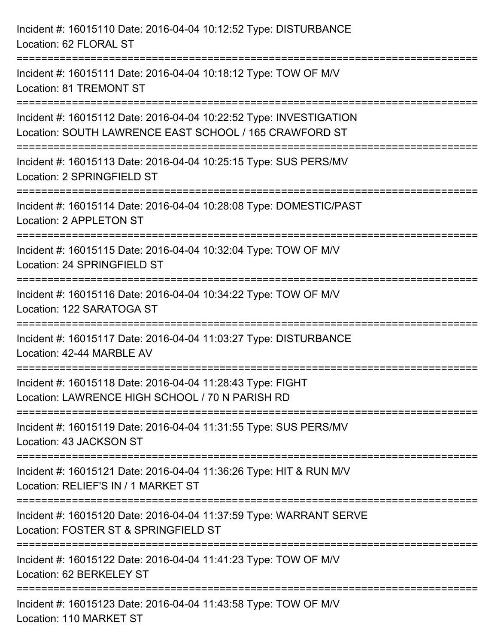| Incident #: 16015110 Date: 2016-04-04 10:12:52 Type: DISTURBANCE<br>Location: 62 FLORAL ST                                                                         |
|--------------------------------------------------------------------------------------------------------------------------------------------------------------------|
| Incident #: 16015111 Date: 2016-04-04 10:18:12 Type: TOW OF M/V<br>Location: 81 TREMONT ST                                                                         |
| Incident #: 16015112 Date: 2016-04-04 10:22:52 Type: INVESTIGATION<br>Location: SOUTH LAWRENCE EAST SCHOOL / 165 CRAWFORD ST<br>================================== |
| Incident #: 16015113 Date: 2016-04-04 10:25:15 Type: SUS PERS/MV<br>Location: 2 SPRINGFIELD ST                                                                     |
| Incident #: 16015114 Date: 2016-04-04 10:28:08 Type: DOMESTIC/PAST<br>Location: 2 APPLETON ST                                                                      |
| Incident #: 16015115 Date: 2016-04-04 10:32:04 Type: TOW OF M/V<br>Location: 24 SPRINGFIELD ST                                                                     |
| Incident #: 16015116 Date: 2016-04-04 10:34:22 Type: TOW OF M/V<br>Location: 122 SARATOGA ST                                                                       |
| Incident #: 16015117 Date: 2016-04-04 11:03:27 Type: DISTURBANCE<br>Location: 42-44 MARBLE AV                                                                      |
| Incident #: 16015118 Date: 2016-04-04 11:28:43 Type: FIGHT<br>Location: LAWRENCE HIGH SCHOOL / 70 N PARISH RD                                                      |
| Incident #: 16015119 Date: 2016-04-04 11:31:55 Type: SUS PERS/MV<br>Location: 43 JACKSON ST                                                                        |
| Incident #: 16015121 Date: 2016-04-04 11:36:26 Type: HIT & RUN M/V<br>Location: RELIEF'S IN / 1 MARKET ST                                                          |
| Incident #: 16015120 Date: 2016-04-04 11:37:59 Type: WARRANT SERVE<br>Location: FOSTER ST & SPRINGFIELD ST                                                         |
| Incident #: 16015122 Date: 2016-04-04 11:41:23 Type: TOW OF M/V<br>Location: 62 BERKELEY ST                                                                        |
| Incident #: 16015123 Date: 2016-04-04 11:43:58 Type: TOW OF M/V<br>Location: 110 MARKET ST                                                                         |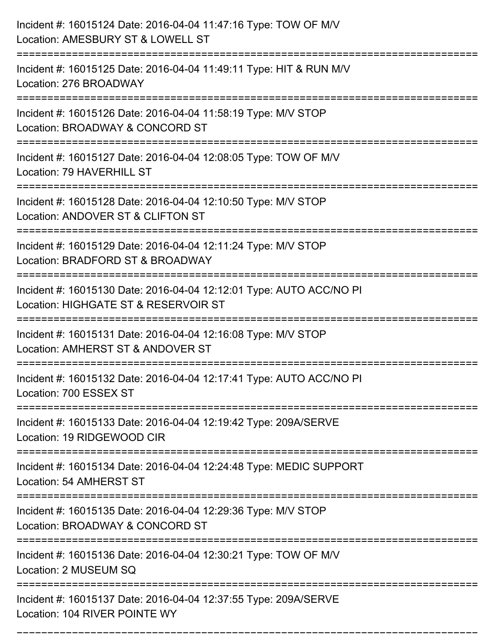| Incident #: 16015124 Date: 2016-04-04 11:47:16 Type: TOW OF M/V<br>Location: AMESBURY ST & LOWELL ST                     |
|--------------------------------------------------------------------------------------------------------------------------|
| -----------------------<br>Incident #: 16015125 Date: 2016-04-04 11:49:11 Type: HIT & RUN M/V<br>Location: 276 BROADWAY  |
| Incident #: 16015126 Date: 2016-04-04 11:58:19 Type: M/V STOP<br>Location: BROADWAY & CONCORD ST                         |
| Incident #: 16015127 Date: 2016-04-04 12:08:05 Type: TOW OF M/V<br>Location: 79 HAVERHILL ST                             |
| Incident #: 16015128 Date: 2016-04-04 12:10:50 Type: M/V STOP<br>Location: ANDOVER ST & CLIFTON ST<br>-----------------  |
| Incident #: 16015129 Date: 2016-04-04 12:11:24 Type: M/V STOP<br>Location: BRADFORD ST & BROADWAY                        |
| Incident #: 16015130 Date: 2016-04-04 12:12:01 Type: AUTO ACC/NO PI<br>Location: HIGHGATE ST & RESERVOIR ST              |
| Incident #: 16015131 Date: 2016-04-04 12:16:08 Type: M/V STOP<br>Location: AMHERST ST & ANDOVER ST                       |
| Incident #: 16015132 Date: 2016-04-04 12:17:41 Type: AUTO ACC/NO PI<br>Location: 700 ESSEX ST                            |
| =======================<br>Incident #: 16015133 Date: 2016-04-04 12:19:42 Type: 209A/SERVE<br>Location: 19 RIDGEWOOD CIR |
| Incident #: 16015134 Date: 2016-04-04 12:24:48 Type: MEDIC SUPPORT<br>Location: 54 AMHERST ST                            |
| Incident #: 16015135 Date: 2016-04-04 12:29:36 Type: M/V STOP<br>Location: BROADWAY & CONCORD ST                         |
| Incident #: 16015136 Date: 2016-04-04 12:30:21 Type: TOW OF M/V<br>Location: 2 MUSEUM SQ                                 |
| Incident #: 16015137 Date: 2016-04-04 12:37:55 Type: 209A/SERVE<br>Location: 104 RIVER POINTE WY                         |

===========================================================================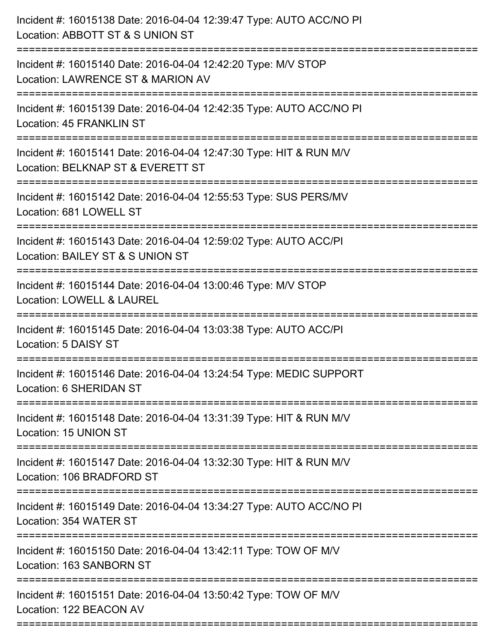| Incident #: 16015138 Date: 2016-04-04 12:39:47 Type: AUTO ACC/NO PI<br>Location: ABBOTT ST & S UNION ST |
|---------------------------------------------------------------------------------------------------------|
| Incident #: 16015140 Date: 2016-04-04 12:42:20 Type: M/V STOP<br>Location: LAWRENCE ST & MARION AV      |
| Incident #: 16015139 Date: 2016-04-04 12:42:35 Type: AUTO ACC/NO PI<br>Location: 45 FRANKLIN ST         |
| Incident #: 16015141 Date: 2016-04-04 12:47:30 Type: HIT & RUN M/V<br>Location: BELKNAP ST & EVERETT ST |
| Incident #: 16015142 Date: 2016-04-04 12:55:53 Type: SUS PERS/MV<br>Location: 681 LOWELL ST             |
| Incident #: 16015143 Date: 2016-04-04 12:59:02 Type: AUTO ACC/PI<br>Location: BAILEY ST & S UNION ST    |
| Incident #: 16015144 Date: 2016-04-04 13:00:46 Type: M/V STOP<br>Location: LOWELL & LAUREL              |
| Incident #: 16015145 Date: 2016-04-04 13:03:38 Type: AUTO ACC/PI<br>Location: 5 DAISY ST                |
| Incident #: 16015146 Date: 2016-04-04 13:24:54 Type: MEDIC SUPPORT<br>Location: 6 SHERIDAN ST           |
| Incident #: 16015148 Date: 2016-04-04 13:31:39 Type: HIT & RUN M/V<br>Location: 15 UNION ST             |
| Incident #: 16015147 Date: 2016-04-04 13:32:30 Type: HIT & RUN M/V<br>Location: 106 BRADFORD ST         |
| Incident #: 16015149 Date: 2016-04-04 13:34:27 Type: AUTO ACC/NO PI<br>Location: 354 WATER ST           |
| Incident #: 16015150 Date: 2016-04-04 13:42:11 Type: TOW OF M/V<br>Location: 163 SANBORN ST             |
| Incident #: 16015151 Date: 2016-04-04 13:50:42 Type: TOW OF M/V<br>Location: 122 BEACON AV              |
|                                                                                                         |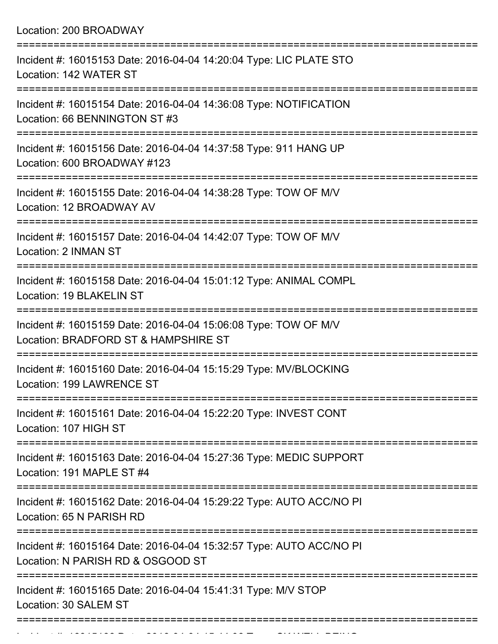Location: 200 BROADWAY

| Incident #: 16015153 Date: 2016-04-04 14:20:04 Type: LIC PLATE STO<br>Location: 142 WATER ST                                                              |
|-----------------------------------------------------------------------------------------------------------------------------------------------------------|
| Incident #: 16015154 Date: 2016-04-04 14:36:08 Type: NOTIFICATION<br>Location: 66 BENNINGTON ST #3                                                        |
| Incident #: 16015156 Date: 2016-04-04 14:37:58 Type: 911 HANG UP<br>Location: 600 BROADWAY #123<br>:==================================<br>=============== |
| Incident #: 16015155 Date: 2016-04-04 14:38:28 Type: TOW OF M/V<br>Location: 12 BROADWAY AV                                                               |
| Incident #: 16015157 Date: 2016-04-04 14:42:07 Type: TOW OF M/V<br>Location: 2 INMAN ST                                                                   |
| Incident #: 16015158 Date: 2016-04-04 15:01:12 Type: ANIMAL COMPL<br>Location: 19 BLAKELIN ST                                                             |
| ====================<br>Incident #: 16015159 Date: 2016-04-04 15:06:08 Type: TOW OF M/V<br>Location: BRADFORD ST & HAMPSHIRE ST                           |
| Incident #: 16015160 Date: 2016-04-04 15:15:29 Type: MV/BLOCKING<br>Location: 199 LAWRENCE ST                                                             |
| Incident #: 16015161 Date: 2016-04-04 15:22:20 Type: INVEST CONT<br>Location: 107 HIGH ST                                                                 |
| Incident #: 16015163 Date: 2016-04-04 15:27:36 Type: MEDIC SUPPORT<br>Location: 191 MAPLE ST #4                                                           |
| Incident #: 16015162 Date: 2016-04-04 15:29:22 Type: AUTO ACC/NO PI<br>Location: 65 N PARISH RD                                                           |
| Incident #: 16015164 Date: 2016-04-04 15:32:57 Type: AUTO ACC/NO PI<br>Location: N PARISH RD & OSGOOD ST                                                  |
| Incident #: 16015165 Date: 2016-04-04 15:41:31 Type: M/V STOP<br>Location: 30 SALEM ST                                                                    |
|                                                                                                                                                           |

Incident #: 16015166 Date: 2016 04 04 15:44:06 Type: CK WELL BEING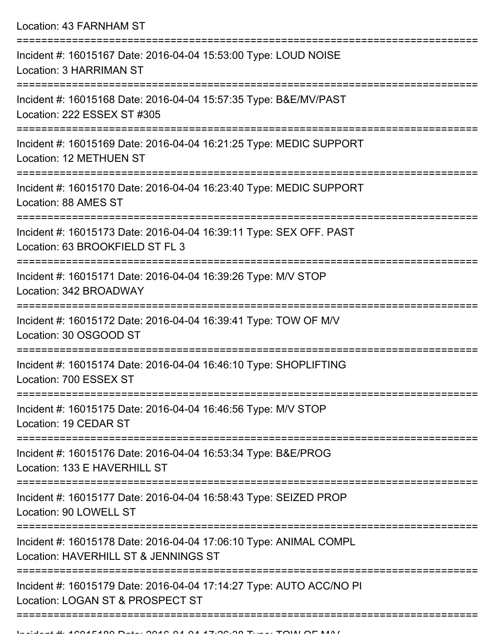Location: 43 FARNHAM ST =========================================================================== Incident #: 16015167 Date: 2016-04-04 15:53:00 Type: LOUD NOISE Location: 3 HARRIMAN ST =========================================================================== Incident #: 16015168 Date: 2016-04-04 15:57:35 Type: B&E/MV/PAST Location: 222 ESSEX ST #305 =========================================================================== Incident #: 16015169 Date: 2016-04-04 16:21:25 Type: MEDIC SUPPORT Location: 12 METHUEN ST =========================================================================== Incident #: 16015170 Date: 2016-04-04 16:23:40 Type: MEDIC SUPPORT Location: 88 AMES ST =========================================================================== Incident #: 16015173 Date: 2016-04-04 16:39:11 Type: SEX OFF. PAST Location: 63 BROOKFIELD ST FL 3 =========================================================================== Incident #: 16015171 Date: 2016-04-04 16:39:26 Type: M/V STOP Location: 342 BROADWAY =========================================================================== Incident #: 16015172 Date: 2016-04-04 16:39:41 Type: TOW OF M/V Location: 30 OSGOOD ST =========================================================================== Incident #: 16015174 Date: 2016-04-04 16:46:10 Type: SHOPLIFTING Location: 700 ESSEX ST =========================================================================== Incident #: 16015175 Date: 2016-04-04 16:46:56 Type: M/V STOP Location: 19 CEDAR ST =========================================================================== Incident #: 16015176 Date: 2016-04-04 16:53:34 Type: B&E/PROG Location: 133 F HAVERHILL ST =========================================================================== Incident #: 16015177 Date: 2016-04-04 16:58:43 Type: SEIZED PROP Location: 90 LOWELL ST =========================================================================== Incident #: 16015178 Date: 2016-04-04 17:06:10 Type: ANIMAL COMPL Location: HAVERHILL ST & JENNINGS ST =========================================================================== Incident #: 16015179 Date: 2016-04-04 17:14:27 Type: AUTO ACC/NO PI Location: LOGAN ST & PROSPECT ST

==============================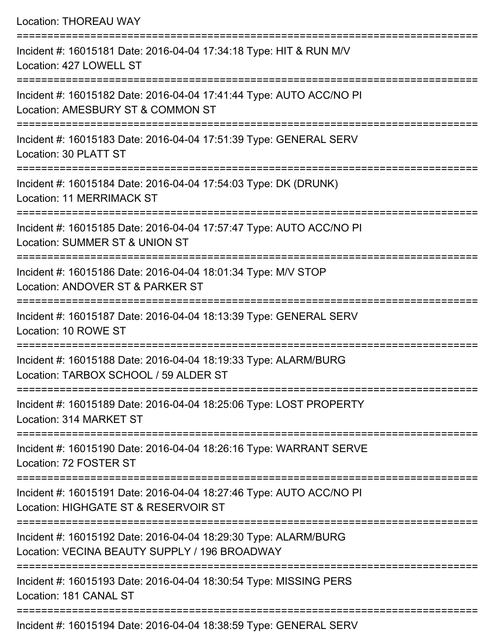| <b>Location: THOREAU WAY</b>                                                                                                         |
|--------------------------------------------------------------------------------------------------------------------------------------|
| Incident #: 16015181 Date: 2016-04-04 17:34:18 Type: HIT & RUN M/V<br>Location: 427 LOWELL ST<br>=================================== |
| Incident #: 16015182 Date: 2016-04-04 17:41:44 Type: AUTO ACC/NO PI<br>Location: AMESBURY ST & COMMON ST                             |
| Incident #: 16015183 Date: 2016-04-04 17:51:39 Type: GENERAL SERV<br>Location: 30 PLATT ST                                           |
| Incident #: 16015184 Date: 2016-04-04 17:54:03 Type: DK (DRUNK)<br>Location: 11 MERRIMACK ST                                         |
| Incident #: 16015185 Date: 2016-04-04 17:57:47 Type: AUTO ACC/NO PI<br>Location: SUMMER ST & UNION ST                                |
| Incident #: 16015186 Date: 2016-04-04 18:01:34 Type: M/V STOP<br>Location: ANDOVER ST & PARKER ST                                    |
| Incident #: 16015187 Date: 2016-04-04 18:13:39 Type: GENERAL SERV<br>Location: 10 ROWE ST                                            |
| Incident #: 16015188 Date: 2016-04-04 18:19:33 Type: ALARM/BURG<br>Location: TARBOX SCHOOL / 59 ALDER ST                             |
| Incident #: 16015189 Date: 2016-04-04 18:25:06 Type: LOST PROPERTY<br>Location: 314 MARKET ST                                        |
| Incident #: 16015190 Date: 2016-04-04 18:26:16 Type: WARRANT SERVE<br>Location: 72 FOSTER ST                                         |
| Incident #: 16015191 Date: 2016-04-04 18:27:46 Type: AUTO ACC/NO PI<br>Location: HIGHGATE ST & RESERVOIR ST                          |
| Incident #: 16015192 Date: 2016-04-04 18:29:30 Type: ALARM/BURG<br>Location: VECINA BEAUTY SUPPLY / 196 BROADWAY                     |
| Incident #: 16015193 Date: 2016-04-04 18:30:54 Type: MISSING PERS<br>Location: 181 CANAL ST                                          |

Incident #: 16015194 Date: 2016-04-04 18:38:59 Type: GENERAL SERV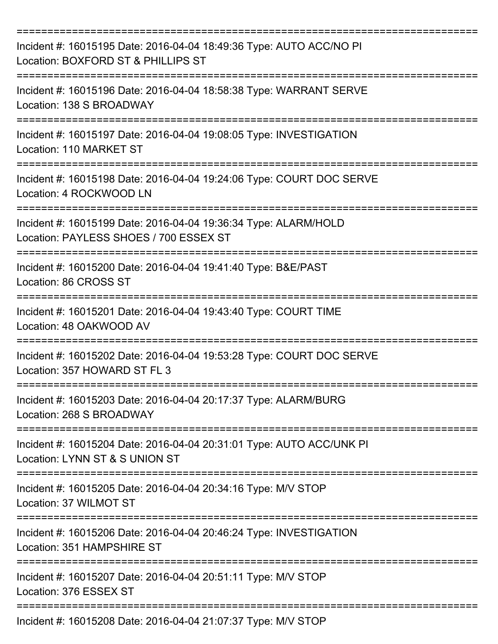| Incident #: 16015195 Date: 2016-04-04 18:49:36 Type: AUTO ACC/NO PI<br>Location: BOXFORD ST & PHILLIPS ST |
|-----------------------------------------------------------------------------------------------------------|
| Incident #: 16015196 Date: 2016-04-04 18:58:38 Type: WARRANT SERVE<br>Location: 138 S BROADWAY            |
| Incident #: 16015197 Date: 2016-04-04 19:08:05 Type: INVESTIGATION<br>Location: 110 MARKET ST             |
| Incident #: 16015198 Date: 2016-04-04 19:24:06 Type: COURT DOC SERVE<br>Location: 4 ROCKWOOD LN           |
| Incident #: 16015199 Date: 2016-04-04 19:36:34 Type: ALARM/HOLD<br>Location: PAYLESS SHOES / 700 ESSEX ST |
| Incident #: 16015200 Date: 2016-04-04 19:41:40 Type: B&E/PAST<br>Location: 86 CROSS ST                    |
| Incident #: 16015201 Date: 2016-04-04 19:43:40 Type: COURT TIME<br>Location: 48 OAKWOOD AV                |
| Incident #: 16015202 Date: 2016-04-04 19:53:28 Type: COURT DOC SERVE<br>Location: 357 HOWARD ST FL 3      |
| Incident #: 16015203 Date: 2016-04-04 20:17:37 Type: ALARM/BURG<br>Location: 268 S BROADWAY               |
| Incident #: 16015204 Date: 2016-04-04 20:31:01 Type: AUTO ACC/UNK PI<br>Location: LYNN ST & S UNION ST    |
| Incident #: 16015205 Date: 2016-04-04 20:34:16 Type: M/V STOP<br>Location: 37 WILMOT ST                   |
| Incident #: 16015206 Date: 2016-04-04 20:46:24 Type: INVESTIGATION<br>Location: 351 HAMPSHIRE ST          |
| Incident #: 16015207 Date: 2016-04-04 20:51:11 Type: M/V STOP<br>Location: 376 ESSEX ST                   |
| Incident #: 16015208 Date: 2016-04-04 21:07:37 Type: M/V STOP                                             |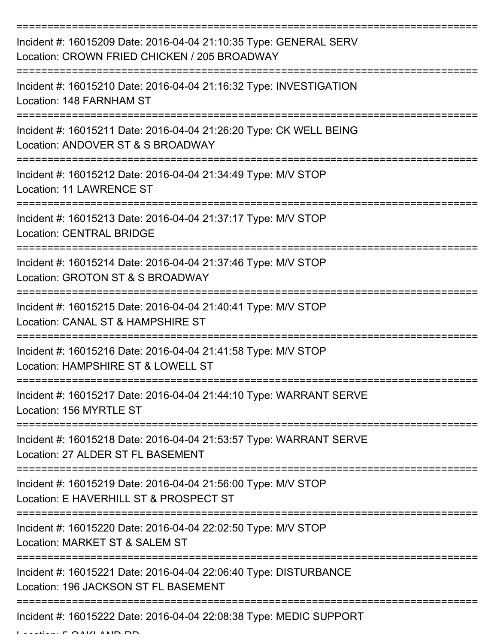| Incident #: 16015209 Date: 2016-04-04 21:10:35 Type: GENERAL SERV<br>Location: CROWN FRIED CHICKEN / 205 BROADWAY     |
|-----------------------------------------------------------------------------------------------------------------------|
| Incident #: 16015210 Date: 2016-04-04 21:16:32 Type: INVESTIGATION<br>Location: 148 FARNHAM ST                        |
| Incident #: 16015211 Date: 2016-04-04 21:26:20 Type: CK WELL BEING<br>Location: ANDOVER ST & S BROADWAY               |
| Incident #: 16015212 Date: 2016-04-04 21:34:49 Type: M/V STOP<br><b>Location: 11 LAWRENCE ST</b><br>----------------- |
| Incident #: 16015213 Date: 2016-04-04 21:37:17 Type: M/V STOP<br><b>Location: CENTRAL BRIDGE</b>                      |
| Incident #: 16015214 Date: 2016-04-04 21:37:46 Type: M/V STOP<br>Location: GROTON ST & S BROADWAY                     |
| Incident #: 16015215 Date: 2016-04-04 21:40:41 Type: M/V STOP<br>Location: CANAL ST & HAMPSHIRE ST                    |
| Incident #: 16015216 Date: 2016-04-04 21:41:58 Type: M/V STOP<br>Location: HAMPSHIRE ST & LOWELL ST                   |
| Incident #: 16015217 Date: 2016-04-04 21:44:10 Type: WARRANT SERVE<br>Location: 156 MYRTLE ST                         |
| Incident #: 16015218 Date: 2016-04-04 21:53:57 Type: WARRANT SERVE<br>Location: 27 ALDER ST FL BASEMENT               |
| Incident #: 16015219 Date: 2016-04-04 21:56:00 Type: M/V STOP<br>Location: E HAVERHILL ST & PROSPECT ST               |
| Incident #: 16015220 Date: 2016-04-04 22:02:50 Type: M/V STOP<br>Location: MARKET ST & SALEM ST                       |
| Incident #: 16015221 Date: 2016-04-04 22:06:40 Type: DISTURBANCE<br>Location: 196 JACKSON ST FL BASEMENT              |
| Incident #: 16015222 Date: 2016-04-04 22:08:38 Type: MEDIC SUPPORT                                                    |

Location: 5 OAKLAND RD